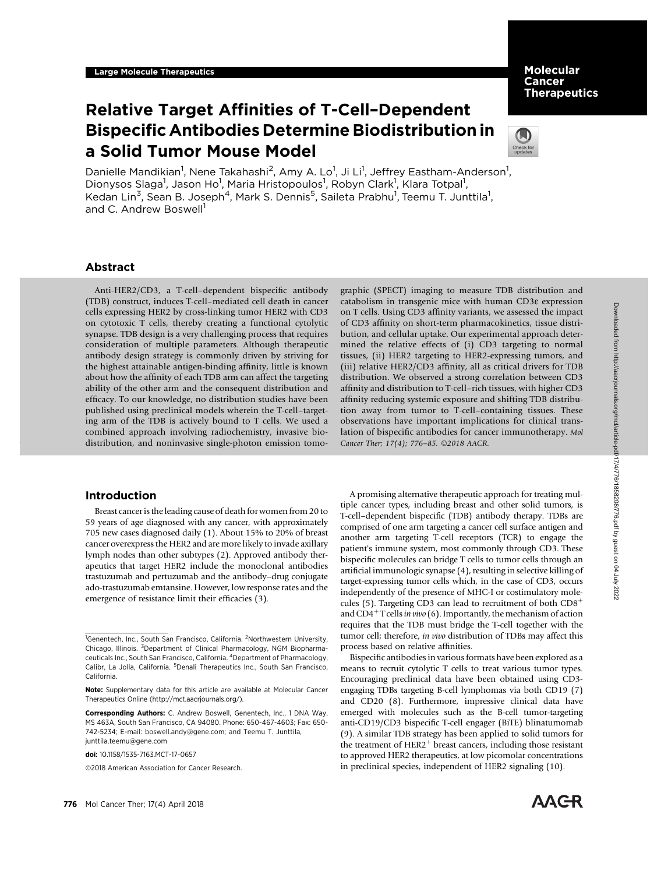# Molecular Cancer **Therapeutics**

# Relative Target Affinities of T-Cell–Dependent Bispecific Antibodies Determine Biodistribution in a Solid Tumor Mouse Model



Danielle Mandikian<sup>1</sup>, Nene Takahashi<sup>2</sup>, Amy A. Lo<sup>1</sup>, Ji Li<sup>1</sup>, Jeffrey Eastham-Anderson<sup>1</sup>, Dionysos Slaga<sup>1</sup>, Jason Ho<sup>1</sup>, Maria Hristopoulos<sup>1</sup>, Robyn Clark<sup>1</sup>, Klara Totpal<sup>1</sup>, Kedan Lin<sup>3</sup>, Sean B. Joseph<sup>4</sup>, Mark S. Dennis<sup>5</sup>, Saileta Prabhu<sup>1</sup>, Teemu T. Junttila<sup>1</sup>, and C. Andrew Boswell<sup>1</sup>

# Abstract

Anti-HER2/CD3, a T-cell–dependent bispecific antibody (TDB) construct, induces T-cell–mediated cell death in cancer cells expressing HER2 by cross-linking tumor HER2 with CD3 on cytotoxic T cells, thereby creating a functional cytolytic synapse. TDB design is a very challenging process that requires consideration of multiple parameters. Although therapeutic antibody design strategy is commonly driven by striving for the highest attainable antigen-binding affinity, little is known about how the affinity of each TDB arm can affect the targeting ability of the other arm and the consequent distribution and efficacy. To our knowledge, no distribution studies have been published using preclinical models wherein the T-cell–targeting arm of the TDB is actively bound to T cells. We used a combined approach involving radiochemistry, invasive biodistribution, and noninvasive single-photon emission tomo-

# Introduction

Breast cancer is the leading cause of death for women from 20 to 59 years of age diagnosed with any cancer, with approximately 705 new cases diagnosed daily (1). About 15% to 20% of breast cancer overexpress the HER2 and are more likely to invade axillary lymph nodes than other subtypes (2). Approved antibody therapeutics that target HER2 include the monoclonal antibodies trastuzumab and pertuzumab and the antibody–drug conjugate ado-trastuzumab emtansine. However, low response rates and the emergence of resistance limit their efficacies (3).

2018 American Association for Cancer Research.

graphic (SPECT) imaging to measure TDB distribution and catabolism in transgenic mice with human CD3e expression on T cells. Using CD3 affinity variants, we assessed the impact of CD3 affinity on short-term pharmacokinetics, tissue distribution, and cellular uptake. Our experimental approach determined the relative effects of (i) CD3 targeting to normal tissues, (ii) HER2 targeting to HER2-expressing tumors, and (iii) relative HER2/CD3 affinity, all as critical drivers for TDB distribution. We observed a strong correlation between CD3 affinity and distribution to T-cell–rich tissues, with higher CD3 affinity reducing systemic exposure and shifting TDB distribution away from tumor to T-cell–containing tissues. These observations have important implications for clinical translation of bispecific antibodies for cancer immunotherapy. Mol Cancer Ther; 17(4); 776-85. ©2018 AACR.

A promising alternative therapeutic approach for treating multiple cancer types, including breast and other solid tumors, is T-cell–dependent bispecific (TDB) antibody therapy. TDBs are comprised of one arm targeting a cancer cell surface antigen and another arm targeting T-cell receptors (TCR) to engage the patient's immune system, most commonly through CD3. These bispecific molecules can bridge T cells to tumor cells through an artificial immunologic synapse (4), resulting in selective killing of target-expressing tumor cells which, in the case of CD3, occurs independently of the presence of MHC-I or costimulatory molecules (5). Targeting CD3 can lead to recruitment of both  $CD8<sup>+</sup>$ and CD4<sup>+</sup> T cells *in vivo* (6). Importantly, the mechanism of action requires that the TDB must bridge the T-cell together with the tumor cell; therefore, in vivo distribution of TDBs may affect this process based on relative affinities.

Bispecific antibodies in various formats have been explored as a means to recruit cytolytic T cells to treat various tumor types. Encouraging preclinical data have been obtained using CD3 engaging TDBs targeting B-cell lymphomas via both CD19 (7) and CD20 (8). Furthermore, impressive clinical data have emerged with molecules such as the B-cell tumor-targeting anti-CD19/CD3 bispecific T-cell engager (BiTE) blinatumomab (9). A similar TDB strategy has been applied to solid tumors for the treatment of HER2<sup>+</sup> breast cancers, including those resistant to approved HER2 therapeutics, at low picomolar concentrations in preclinical species, independent of HER2 signaling (10).



<sup>&</sup>lt;sup>1</sup>Genentech, Inc., South San Francisco, California. <sup>2</sup>Northwestern University, Chicago, Illinois. <sup>3</sup>Department of Clinical Pharmacology, NGM Biopharmaceuticals Inc., South San Francisco, California. <sup>4</sup>Department of Pharmacology, Calibr, La Jolla, California. <sup>5</sup>Denali Therapeutics Inc., South San Francisco, California.

Note: Supplementary data for this article are available at Molecular Cancer Therapeutics Online [\(http://mct.aacrjournals.org/](http://mct.aacrjournals.org/)).

Corresponding Authors: C. Andrew Boswell, Genentech, Inc., 1 DNA Way, MS 463A, South San Francisco, CA 94080. Phone: 650-467-4603; Fax: 650- 742-5234; E-mail: boswell.andy@gene.com; and Teemu T. Junttila, junttila.teemu@gene.com

doi: 10.1158/1535-7163.MCT-17-0657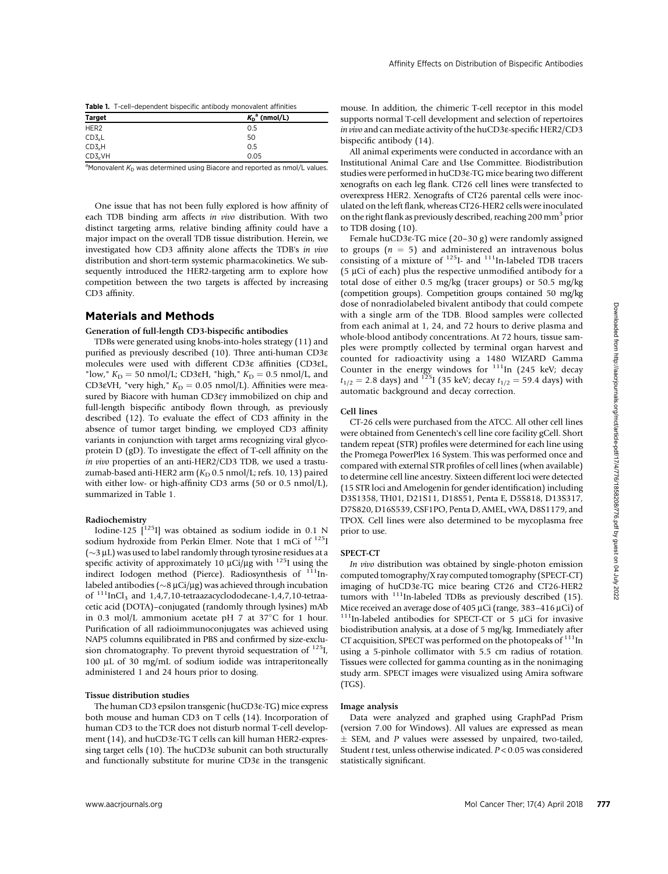|  | Table 1. T-cell-dependent bispecific antibody monovalent affinities |  |  |  |  |
|--|---------------------------------------------------------------------|--|--|--|--|
|--|---------------------------------------------------------------------|--|--|--|--|

| <b>Target</b>       | $K_{D}^{a}$ (nmol/L) |
|---------------------|----------------------|
| HER <sub>2</sub>    | 0.5                  |
| CD3 <sub>e</sub> L  | 50                   |
| CD3 <sub>e</sub> H  | 0.5                  |
| CD3 <sub>c</sub> VH | 0.05                 |

 $\frac{\text{CDS}_e\text{VH}}{\text{M}$ onovalent  $K_{\text{D}}$  was determined using Biacore and reported as nmol/L values.

One issue that has not been fully explored is how affinity of each TDB binding arm affects in vivo distribution. With two distinct targeting arms, relative binding affinity could have a major impact on the overall TDB tissue distribution. Herein, we investigated how CD3 affinity alone affects the TDB's in vivo distribution and short-term systemic pharmacokinetics. We subsequently introduced the HER2-targeting arm to explore how competition between the two targets is affected by increasing CD3 affinity.

# Materials and Methods

# Generation of full-length CD3-bispecific antibodies

TDBs were generated using knobs-into-holes strategy (11) and purified as previously described (10). Three anti-human CD3e molecules were used with different CD3e affinities (CD3eL, "low,"  $K_D = 50$  nmol/L; CD3 $\varepsilon$ H, "high,"  $K_D = 0.5$  nmol/L, and CD3 $\varepsilon$ VH, "very high,"  $K_D = 0.05$  nmol/L). Affinities were measured by Biacore with human CD3εγ immobilized on chip and full-length bispecific antibody flown through, as previously described (12). To evaluate the effect of CD3 affinity in the absence of tumor target binding, we employed CD3 affinity variants in conjunction with target arms recognizing viral glycoprotein D (gD). To investigate the effect of T-cell affinity on the in vivo properties of an anti-HER2/CD3 TDB, we used a trastuzumab-based anti-HER2 arm  $(K_D 0.5 \text{ nmol/L}$ ; refs. 10, 13) paired with either low- or high-affinity CD3 arms (50 or 0.5 nmol/L), summarized in Table 1.

### Radiochemistry

Iodine-125  $\int_1^{125}$ I] was obtained as sodium iodide in 0.1 N sodium hydroxide from Perkin Elmer. Note that 1 mCi of <sup>125</sup>I ( $\sim$ 3 µL) was used to label randomly through tyrosine residues at a<br>specific activity of approximately 10 µCi/ug with  $^{125}$ Lusing the specific activity of approximately 10  $\mu$ Ci/ $\mu$ g with <sup>125</sup>I using the indirect Iodogen method (Pierce). Radiosynthesis of  $111$ Inlabeled antibodies (~8 µCi/µg) was achieved through incubation<br>of <sup>111</sup>InCl., and 1.4.7 10-tetraazacyclododecane-1.4.7 10-tetraa of  $111$ InCl<sub>3</sub> and 1,4,7,10-tetraazacyclododecane-1,4,7,10-tetraacetic acid (DOTA)–conjugated (randomly through lysines) mAb in 0.3 mol/L ammonium acetate pH 7 at  $37^{\circ}$ C for 1 hour. Purification of all radioimmunoconjugates was achieved using NAP5 columns equilibrated in PBS and confirmed by size-exclusion chromatography. To prevent thyroid sequestration of  $^{125}I$ , 100 µL of 30 mg/mL of sodium iodide was intraperitoneally administered 1 and 24 hours prior to dosing.

### Tissue distribution studies

The human CD3 epsilon transgenic (huCD3e-TG) mice express both mouse and human CD3 on T cells (14). Incorporation of human CD3 to the TCR does not disturb normal T-cell development (14), and huCD3ε-TG T cells can kill human HER2-expressing target cells (10). The huCD3e subunit can both structurally and functionally substitute for murine CD3e in the transgenic mouse. In addition, the chimeric T-cell receptor in this model supports normal T-cell development and selection of repertoires in vivo and can mediate activity of the huCD3e-specific HER2/CD3 bispecific antibody (14).

All animal experiments were conducted in accordance with an Institutional Animal Care and Use Committee. Biodistribution studies were performed in huCD3e-TG mice bearing two different xenografts on each leg flank. CT26 cell lines were transfected to overexpress HER2. Xenografts of CT26 parental cells were inoculated on the left flank, whereas CT26-HER2 cells were inoculated on the right flank as previously described, reaching 200 mm<sup>3</sup> prior to TDB dosing (10).

Female huCD3e-TG mice (20–30 g) were randomly assigned to groups ( $n = 5$ ) and administered an intravenous bolus consisting of a mixture of  $^{125}$ I- and  $^{111}$ In-labeled TDB tracers (5  $\mu$ Ci of each) plus the respective unmodified antibody for a total dose of either 0.5 mg/kg (tracer groups) or 50.5 mg/kg (competition groups). Competition groups contained 50 mg/kg dose of nonradiolabeled bivalent antibody that could compete with a single arm of the TDB. Blood samples were collected from each animal at 1, 24, and 72 hours to derive plasma and whole-blood antibody concentrations. At 72 hours, tissue samples were promptly collected by terminal organ harvest and counted for radioactivity using a 1480 WIZARD Gamma Counter in the energy windows for  $111$ In (245 keV; decay  $t_{1/2} = 2.8$  days) and <sup>125</sup>I (35 keV; decay  $t_{1/2} = 59.4$  days) with automatic background and decay correction.

### Cell lines

CT-26 cells were purchased from the ATCC. All other cell lines were obtained from Genentech's cell line core facility gCell. Short tandem repeat (STR) profiles were determined for each line using the Promega PowerPlex 16 System. This was performed once and compared with external STR profiles of cell lines (when available) to determine cell line ancestry. Sixteen different loci were detected (15 STR loci and Amelogenin for gender identification) including D3S1358, TH01, D21S11, D18S51, Penta E, D5S818, D13S317, D7S820, D16S539, CSF1PO, Penta D, AMEL, vWA, D8S1179, and TPOX. Cell lines were also determined to be mycoplasma free prior to use.

### SPECT-CT

In vivo distribution was obtained by single-photon emission computed tomography/X ray computed tomography (SPECT-CT) imaging of huCD3e-TG mice bearing CT26 and CT26-HER2 tumors with  $111$ In-labeled TDBs as previously described (15). Mice received an average dose of 405  $\mu$ Ci (range, 383–416  $\mu$ Ci) of <sup>111</sup>In-labeled antibodies for SPECT-CT or 5  $\mu$ Ci for invasive biodistribution analysis, at a dose of 5 mg/kg. Immediately after CT acquisition, SPECT was performed on the photopeaks of  $111$ In using a 5-pinhole collimator with 5.5 cm radius of rotation. Tissues were collected for gamma counting as in the nonimaging study arm. SPECT images were visualized using Amira software (TGS).

#### Image analysis

Data were analyzed and graphed using GraphPad Prism (version 7.00 for Windows). All values are expressed as mean  $\pm$  SEM, and P values were assessed by unpaired, two-tailed, Student <sup>t</sup> test, unless otherwise indicated. <sup>P</sup> < 0.05 was considered statistically significant.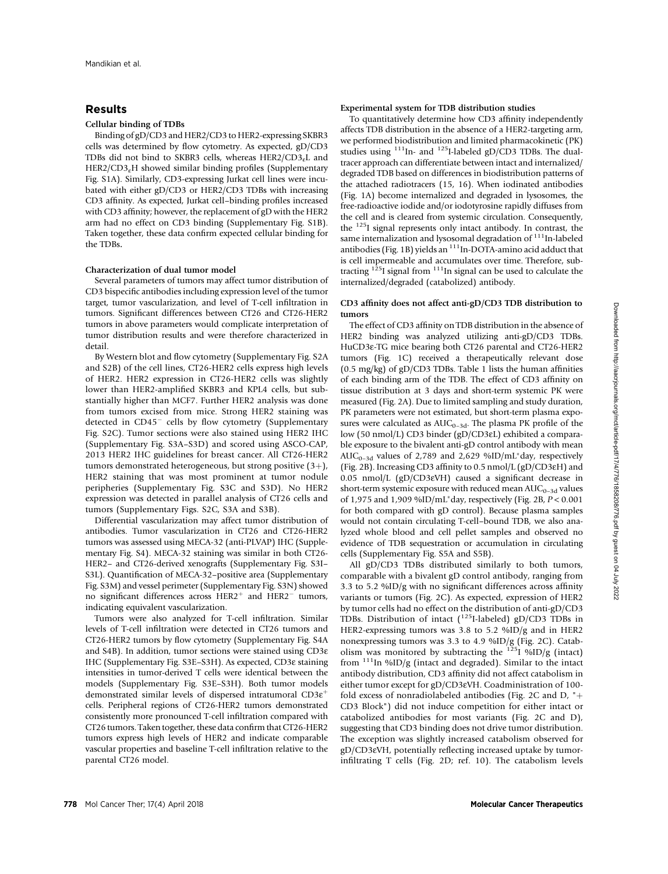# Results

# Cellular binding of TDBs

Binding of gD/CD3 and HER2/CD3 to HER2-expressing SKBR3 cells was determined by flow cytometry. As expected, gD/CD3 TDBs did not bind to SKBR3 cells, whereas  $HER2/CD3<sub>e</sub>L$  and  $HER2/CD3<sub>e</sub>H$  showed similar binding profiles (Supplementary Fig. S1A). Similarly, CD3-expressing Jurkat cell lines were incubated with either gD/CD3 or HER2/CD3 TDBs with increasing CD3 affinity. As expected, Jurkat cell–binding profiles increased with CD3 affinity; however, the replacement of gD with the HER2 arm had no effect on CD3 binding (Supplementary Fig. S1B). Taken together, these data confirm expected cellular binding for the TDBs.

### Characterization of dual tumor model

Several parameters of tumors may affect tumor distribution of CD3 bispecific antibodies including expression level of the tumor target, tumor vascularization, and level of T-cell infiltration in tumors. Significant differences between CT26 and CT26-HER2 tumors in above parameters would complicate interpretation of tumor distribution results and were therefore characterized in detail.

By Western blot and flow cytometry (Supplementary Fig. S2A and S2B) of the cell lines, CT26-HER2 cells express high levels of HER2. HER2 expression in CT26-HER2 cells was slightly lower than HER2-amplified SKBR3 and KPL4 cells, but substantially higher than MCF7. Further HER2 analysis was done from tumors excised from mice. Strong HER2 staining was detected in  $CD45^-$  cells by flow cytometry (Supplementary Fig. S2C). Tumor sections were also stained using HER2 IHC (Supplementary Fig. S3A–S3D) and scored using ASCO-CAP, 2013 HER2 IHC guidelines for breast cancer. All CT26-HER2 tumors demonstrated heterogeneous, but strong positive  $(3+)$ , HER2 staining that was most prominent at tumor nodule peripheries (Supplementary Fig. S3C and S3D). No HER2 expression was detected in parallel analysis of CT26 cells and tumors (Supplementary Figs. S2C, S3A and S3B).

Differential vascularization may affect tumor distribution of antibodies. Tumor vascularization in CT26 and CT26-HER2 tumors was assessed using MECA-32 (anti-PLVAP) IHC (Supplementary Fig. S4). MECA-32 staining was similar in both CT26- HER2– and CT26-derived xenografts (Supplementary Fig. S3I– S3L). Quantification of MECA-32–positive area (Supplementary Fig. S3M) and vessel perimeter (Supplementary Fig. S3N) showed no significant differences across  $HER2<sup>+</sup>$  and  $HER2<sup>-</sup>$  tumors, indicating equivalent vascularization.

Tumors were also analyzed for T-cell infiltration. Similar levels of T-cell infiltration were detected in CT26 tumors and CT26-HER2 tumors by flow cytometry (Supplementary Fig. S4A and S4B). In addition, tumor sections were stained using CD3e IHC (Supplementary Fig. S3E–S3H). As expected, CD3e staining intensities in tumor-derived T cells were identical between the models (Supplementary Fig. S3E–S3H). Both tumor models demonstrated similar levels of dispersed intratumoral CD3e þ cells. Peripheral regions of CT26-HER2 tumors demonstrated consistently more pronounced T-cell infiltration compared with CT26 tumors. Taken together, these data confirm that CT26-HER2 tumors express high levels of HER2 and indicate comparable vascular properties and baseline T-cell infiltration relative to the parental CT26 model.

### Experimental system for TDB distribution studies

To quantitatively determine how CD3 affinity independently affects TDB distribution in the absence of a HER2-targeting arm, we performed biodistribution and limited pharmacokinetic (PK) studies using <sup>111</sup>In- and <sup>125</sup>I-labeled gD/CD3 TDBs. The dualtracer approach can differentiate between intact and internalized/ degraded TDB based on differences in biodistribution patterns of the attached radiotracers (15, 16). When iodinated antibodies (Fig. 1A) become internalized and degraded in lysosomes, the free-radioactive iodide and/or iodotyrosine rapidly diffuses from the cell and is cleared from systemic circulation. Consequently, the 125I signal represents only intact antibody. In contrast, the same internalization and lysosomal degradation of  $111$ In-labeled antibodies (Fig. 1B) yields an <sup>111</sup>In-DOTA-amino acid adduct that is cell impermeable and accumulates over time. Therefore, subtracting  $125I$  signal from  $11I$ In signal can be used to calculate the internalized/degraded (catabolized) antibody.

# CD3 affinity does not affect anti-gD/CD3 TDB distribution to tumors

The effect of CD3 affinity on TDB distribution in the absence of HER2 binding was analyzed utilizing anti-gD/CD3 TDBs. HuCD3e-TG mice bearing both CT26 parental and CT26-HER2 tumors (Fig. 1C) received a therapeutically relevant dose (0.5 mg/kg) of gD/CD3 TDBs. Table 1 lists the human affinities of each binding arm of the TDB. The effect of CD3 affinity on tissue distribution at 3 days and short-term systemic PK were measured (Fig. 2A). Due to limited sampling and study duration, PK parameters were not estimated, but short-term plasma exposures were calculated as  $AUC_{0-3d}$ . The plasma PK profile of the low (50 nmol/L) CD3 binder (gD/CD3eL) exhibited a comparable exposure to the bivalent anti-gD control antibody with mean AUC<sub>0-3d</sub> values of 2,789 and 2,629 %ID/mL<sup>\*</sup>day, respectively (Fig. 2B). Increasing CD3 affinity to 0.5 nmol/L (gD/CD3eH) and 0.05 nmol/L (gD/CD3eVH) caused a significant decrease in short-term systemic exposure with reduced mean  $AUC_{0-3d}$  values of 1,975 and 1,909 %ID/mL\*day, respectively (Fig. 2B,  $P < 0.001$ for both compared with gD control). Because plasma samples would not contain circulating T-cell–bound TDB, we also analyzed whole blood and cell pellet samples and observed no evidence of TDB sequestration or accumulation in circulating cells (Supplementary Fig. S5A and S5B).

All gD/CD3 TDBs distributed similarly to both tumors, comparable with a bivalent gD control antibody, ranging from 3.3 to 5.2 %ID/g with no significant differences across affinity variants or tumors (Fig. 2C). As expected, expression of HER2 by tumor cells had no effect on the distribution of anti-gD/CD3 TDBs. Distribution of intact  $(^{125}I$ -labeled) gD/CD3 TDBs in HER2-expressing tumors was 3.8 to 5.2 %ID/g and in HER2 nonexpressing tumors was 3.3 to 4.9 %ID/g (Fig. 2C). Catabolism was monitored by subtracting the  $125$   $\frac{6}{125}$   $\frac{6}{125}$  (intact) from  $^{111}$ In %ID/g (intact and degraded). Similar to the intact antibody distribution, CD3 affinity did not affect catabolism in either tumor except for gD/CD3eVH. Coadministration of 100 fold excess of nonradiolabeled antibodies (Fig. 2C and D,  $"+$ CD3 Block") did not induce competition for either intact or catabolized antibodies for most variants (Fig. 2C and D), suggesting that CD3 binding does not drive tumor distribution. The exception was slightly increased catabolism observed for gD/CD3eVH, potentially reflecting increased uptake by tumorinfiltrating T cells (Fig. 2D; ref. 10). The catabolism levels Downloaded from http://aacrjournals.org/mct/article-pdf/17/4/776/1858208/776.pdf by guest on 04 July 2022 Downloaded from http://aacrjournals.org/mct/article-pdf/17/4/776/1858208/776.pdf by guest on 04 July 2022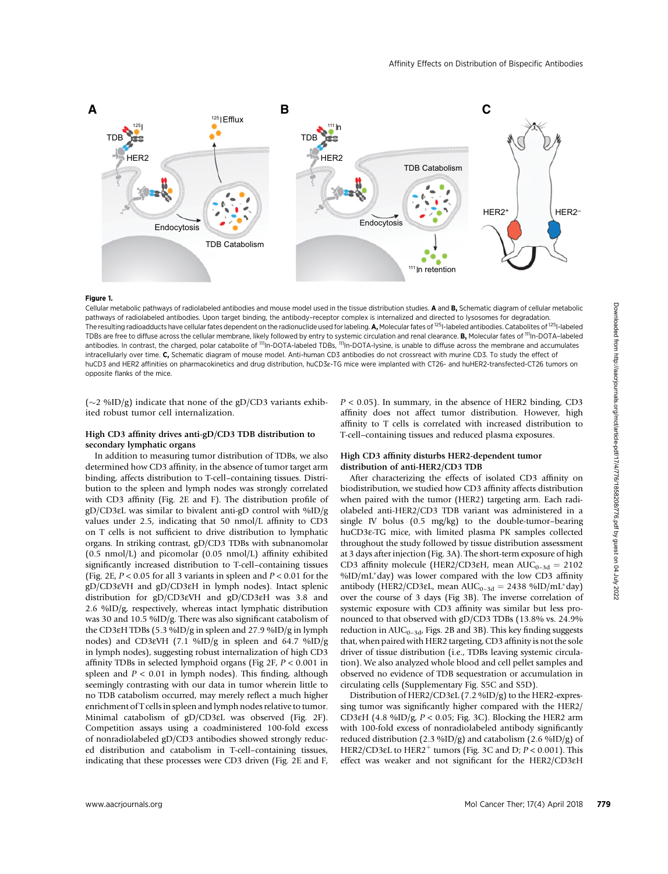

#### Figure 1.

Cellular metabolic pathways of radiolabeled antibodies and mouse model used in the tissue distribution studies. A and B, Schematic diagram of cellular metabolic pathways of radiolabeled antibodies. Upon target binding, the antibody–receptor complex is internalized and directed to lysosomes for degradation. The resulting radioadducts have cellular fates dependent on the radionuclide used for labeling. A, Molecular fates of <sup>125</sup>I-labeled antibodies. Catabolites of <sup>125</sup>I-labeled TDBs are free to diffuse across the cellular membrane, likely followed by entry to systemic circulation and renal clearance. B, Molecular fates of "In-DOTA-labeled antibodies. In contrast, the charged, polar catabolite of <sup>111</sup>In-DOTA-labeled TDBs, <sup>111</sup>In-DOTA-lysine, is unable to diffuse across the membrane and accumulates intracellularly over time. C, Schematic diagram of mouse model. Anti-human CD3 antibodies do not crossreact with murine CD3. To study the effect of huCD3 and HER2 affinities on pharmacokinetics and drug distribution, huCD3e-TG mice were implanted with CT26- and huHER2-transfected-CT26 tumors on opposite flanks of the mice.

 $(\sim$  2 %ID/g) indicate that none of the gD/CD3 variants exhibited robust tumor cell internalization.

# High CD3 affinity drives anti-gD/CD3 TDB distribution to secondary lymphatic organs

In addition to measuring tumor distribution of TDBs, we also determined how CD3 affinity, in the absence of tumor target arm binding, affects distribution to T-cell–containing tissues. Distribution to the spleen and lymph nodes was strongly correlated with CD3 affinity (Fig. 2E and F). The distribution profile of gD/CD3eL was similar to bivalent anti-gD control with %ID/g values under 2.5, indicating that 50 nmol/L affinity to CD3 on T cells is not sufficient to drive distribution to lymphatic organs. In striking contrast, gD/CD3 TDBs with subnanomolar (0.5 nmol/L) and picomolar (0.05 nmol/L) affinity exhibited significantly increased distribution to T-cell–containing tissues (Fig. 2E,  $P < 0.05$  for all 3 variants in spleen and  $P < 0.01$  for the gD/CD3eVH and gD/CD3eH in lymph nodes). Intact splenic distribution for gD/CD3eVH and gD/CD3eH was 3.8 and 2.6 %ID/g, respectively, whereas intact lymphatic distribution was 30 and 10.5 %ID/g. There was also significant catabolism of the CD3eH TDBs (5.3 %ID/g in spleen and 27.9 %ID/g in lymph nodes) and CD3eVH (7.1 %ID/g in spleen and 64.7 %ID/g in lymph nodes), suggesting robust internalization of high CD3 affinity TDBs in selected lymphoid organs (Fig  $2F$ ,  $P < 0.001$  in spleen and  $P < 0.01$  in lymph nodes). This finding, although seemingly contrasting with our data in tumor wherein little to no TDB catabolism occurred, may merely reflect a much higher enrichment of T cells in spleen and lymph nodes relative to tumor. Minimal catabolism of gD/CD3eL was observed (Fig. 2F). Competition assays using a coadministered 100-fold excess of nonradiolabeled gD/CD3 antibodies showed strongly reduced distribution and catabolism in T-cell–containing tissues, indicating that these processes were CD3 driven (Fig. 2E and F,

 $P < 0.05$ ). In summary, in the absence of HER2 binding, CD3 affinity does not affect tumor distribution. However, high affinity to T cells is correlated with increased distribution to T-cell–containing tissues and reduced plasma exposures.

# High CD3 affinity disturbs HER2-dependent tumor distribution of anti-HER2/CD3 TDB

After characterizing the effects of isolated CD3 affinity on biodistribution, we studied how CD3 affinity affects distribution when paired with the tumor (HER2) targeting arm. Each radiolabeled anti-HER2/CD3 TDB variant was administered in a single IV bolus (0.5 mg/kg) to the double-tumor–bearing huCD3e-TG mice, with limited plasma PK samples collected throughout the study followed by tissue distribution assessment at 3 days after injection (Fig. 3A). The short-term exposure of high CD3 affinity molecule (HER2/CD3 $\varepsilon$ H, mean AUC<sub>0–3d</sub> = 2102 %ID/mL\*day) was lower compared with the low CD3 affinity antibody (HER2/CD3 $\varepsilon$ L, mean AUC<sub>0-3d</sub> = 2438 %ID/mL<sup>\*</sup>day) over the course of 3 days (Fig 3B). The inverse correlation of systemic exposure with CD3 affinity was similar but less pronounced to that observed with gD/CD3 TDBs (13.8% vs. 24.9% reduction in  $AUC_{0-3d}$ , Figs. 2B and 3B). This key finding suggests that, when paired with HER2 targeting, CD3 affinity is not the sole driver of tissue distribution (i.e., TDBs leaving systemic circulation). We also analyzed whole blood and cell pellet samples and observed no evidence of TDB sequestration or accumulation in circulating cells (Supplementary Fig. S5C and S5D).

Distribution of HER2/CD3eL (7.2 %ID/g) to the HER2-expressing tumor was significantly higher compared with the HER2/ CD3 $\varepsilon$ H (4.8 %ID/g,  $P < 0.05$ ; Fig. 3C). Blocking the HER2 arm with 100-fold excess of nonradiolabeled antibody significantly reduced distribution (2.3 %ID/g) and catabolism (2.6 %ID/g) of HER2/CD3 $\varepsilon$ L to HER2<sup>+</sup> tumors (Fig. 3C and D;  $P < 0.001$ ). This effect was weaker and not significant for the HER2/CD3e<sup>H</sup>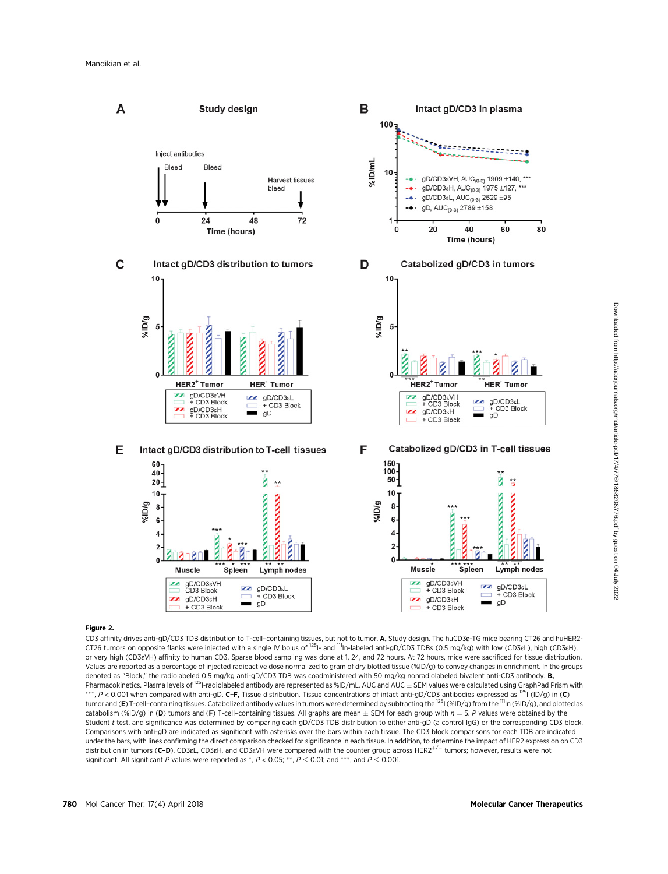

# Figure 2.

CD3 affinity drives anti-gD/CD3 TDB distribution to T-cell–containing tissues, but not to tumor. A, Study design. The huCD3e-TG mice bearing CT26 and huHER2- CT26 tumors on opposite flanks were injected with a single IV bolus of <sup>125</sup>I- and <sup>111</sup>In-labeled anti-gD/CD3 TDBs (0.5 mg/kg) with low (CD3eL), high (CD3eH), or very high (CD3eVH) affinity to human CD3. Sparse blood sampling was done at 1, 24, and 72 hours. At 72 hours, mice were sacrificed for tissue distribution. Values are reported as a percentage of injected radioactive dose normalized to gram of dry blotted tissue (%ID/g) to convey changes in enrichment. In the groups denoted as "Block," the radiolabeled 0.5 mg/kg anti-gD/CD3 TDB was coadministered with 50 mg/kg nonradiolabeled bivalent anti-CD3 antibody. B, Pharmacokinetics. Plasma levels of <sup>125</sup>I-radiolabeled antibody are represented as %ID/mL. AUC and AUC ± SEM values were calculated using GraphPad Prism with \*\*\*, P < 0.001 when compared with anti-gD. C–F, Tissue distribution. Tissue concentrations of intact anti-gD/CD3 antibodies expressed as <sup>125</sup>I (ID/g) in (C) tumor and (E) T-cell-containing tissues. Catabolized antibody values in tumors were determined by subtracting the <sup>125</sup>I (%ID/g) from the <sup>111</sup>In (%ID/g), and plotted as catabolism (%ID/g) in (D) tumors and (F) T-cell-containing tissues. All graphs are mean  $\pm$  SEM for each group with  $n = 5$ . P values were obtained by the Student t test, and significance was determined by comparing each gD/CD3 TDB distribution to either anti-gD (a control IgG) or the corresponding CD3 block. Comparisons with anti-gD are indicated as significant with asterisks over the bars within each tissue. The CD3 block comparisons for each TDB are indicated under the bars, with lines confirming the direct comparison checked for significance in each tissue. In addition, to determine the impact of HER2 expression on CD3 distribution in tumors (C–D), CD3eL, CD3eH, and CD3eVH were compared with the counter group across HER2<sup>+/-</sup> tumors; however, results were not significant. All significant P values were reported as \*,  $P < 0.05$ ; \*\*,  $P \le 0.01$ ; and \*\*\*, and  $P \le 0.001$ .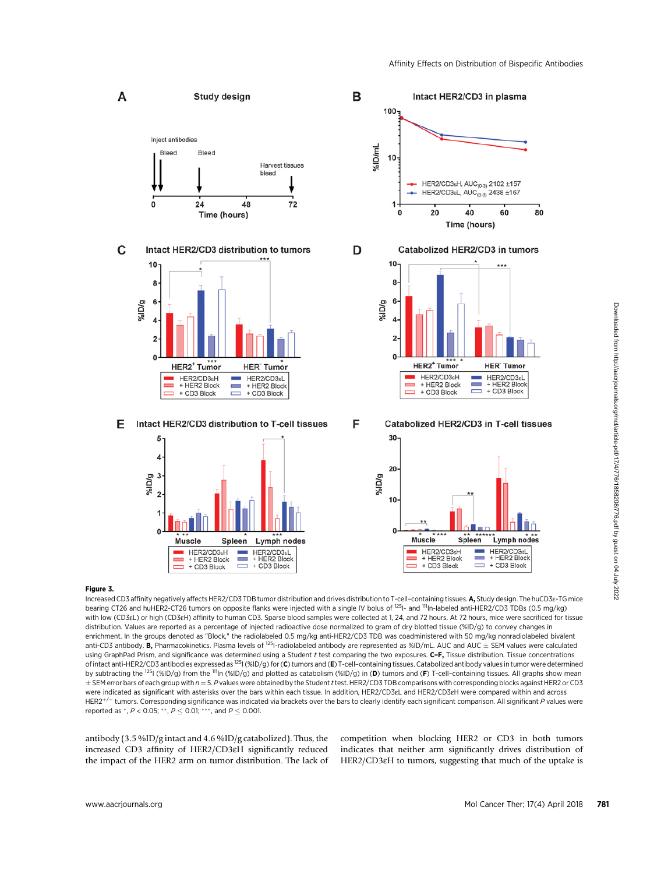

# Figure 3.

Increased CD3 affinity negatively affects HER2/CD3 TDB tumor distribution and drives distribution to T-cell–containing tissues. **A,** Study design. The huCD3e-TG mice<br>bearing CT26 and huHER2-CT26 tumors on opposite flanks w with low (CD3eL) or high (CD3eH) affinity to human CD3. Sparse blood samples were collected at 1, 24, and 72 hours. At 72 hours, mice were sacrificed for tissue distribution. Values are reported as a percentage of injected radioactive dose normalized to gram of dry blotted tissue (%ID/g) to convey changes in enrichment. In the groups denoted as "Block," the radiolabeled 0.5 mg/kg anti-HER2/CD3 TDB was coadministered with 50 mg/kg nonradiolabeled bivalent anti-CD3 antibody. B, Pharmacokinetics. Plasma levels of <sup>125</sup>I-radiolabeled antibody are represented as %ID/mL. AUC and AUC  $\pm$  SEM values were calculated using GraphPad Prism, and significance was determined using a Student t test comparing the two exposures. C-F, Tissue distribution. Tissue concentrations of intact anti-HER2/CD3 antibodies expressed as  $^{125}$ I (%ID/g) for (C) tumors and (E) T-cell-containing tissues. Catabolized antibody values in tumor were determined by subtracting the <sup>125</sup>I (%ID/g) from the <sup>111</sup>In (%ID/g) and plotted as catabolism (%ID/g) in (D) tumors and (F) T-cell-containing tissues. All graphs show mean  $\pm$  SEM error bars of each group with  $n = 5$ . P values were obtained by the Student t test. HER2/CD3 TDB comparisons with corresponding blocks against HER2 or CD3 were indicated as significant with asterisks over the bars within each tissue. In addition, HER2/CD3eL and HER2/CD3eH were compared within and across  $HER2^{+/}$  tumors. Corresponding significance was indicated via brackets over the bars to clearly identify each significant comparison. All significant P values were reported as \*,  $P < 0.05$ ; \*\*,  $P \le 0.01$ ; \*\*\*, and  $P \le 0.001$ .

antibody (3.5 %ID/g intact and 4.6 %ID/g catabolized). Thus, the increased CD3 affinity of HER2/CD3eH significantly reduced the impact of the HER2 arm on tumor distribution. The lack of

competition when blocking HER2 or CD3 in both tumors indicates that neither arm significantly drives distribution of HER2/CD3eH to tumors, suggesting that much of the uptake is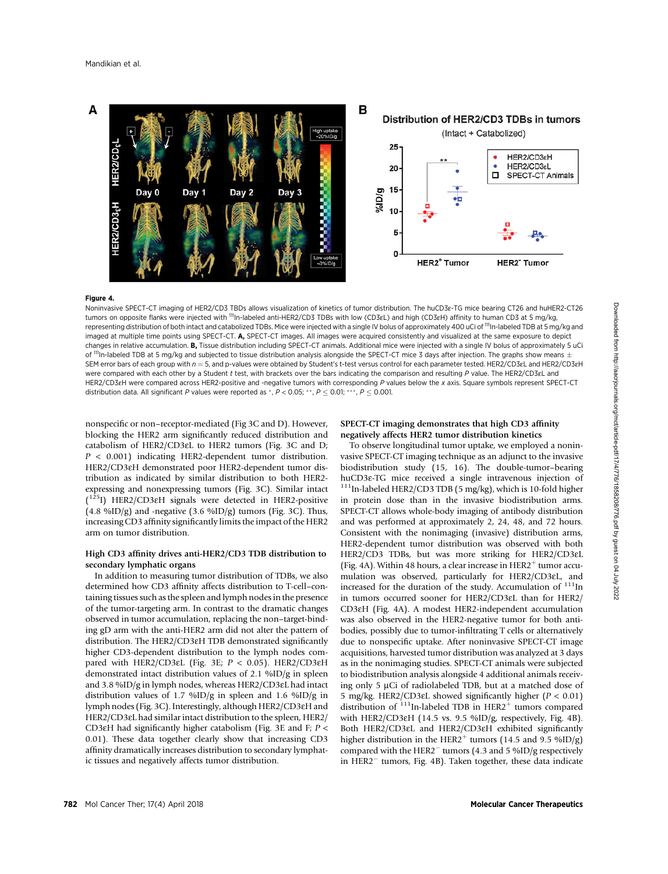

#### Figure 4.

Noninvasive SPECT-CT imaging of HER2/CD3 TBDs allows visualization of kinetics of tumor distribution. The huCD3e-TG mice bearing CT26 and huHER2-CT26 tumors on opposite flanks were injected with <sup>111</sup>In-labeled anti-HER2/CD3 TDBs with low (CD3eL) and high (CD3eH) affinity to human CD3 at 5 mg/kg, representing distribution of both intact and catabolized TDBs. Mice were injected with a single IV bolus of approximately 400 uCi of <sup>111</sup>In-labeled TDB at 5 mg/kg and imaged at multiple time points using SPECT-CT. A, SPECT-CT images. All images were acquired consistently and visualized at the same exposure to depict changes in relative accumulation. B, Tissue distribution including SPECT-CT animals. Additional mice were injected with a single IV bolus of approximately 5 uCi of  $\rm{^{111}}$ In-labeled TDB at 5 mg/kg and subjected to tissue distribution analysis alongside the SPECT-CT mice 3 days after injection. The graphs show means  $\pm$ SEM error bars of each group with  $n = 5$ , and p-values were obtained by Student's t-test versus control for each parameter tested. HER2/CD3eL and HER2/CD3eH were compared with each other by a Student t test, with brackets over the bars indicating the comparison and resulting P value. The HER2/CD3eL and HER2/CD3eH were compared across HER2-positive and -negative tumors with corresponding P values below the x axis. Square symbols represent SPECT-CT distribution data. All significant P values were reported as \*,  $P < 0.05$ ; \*\*,  $P \le 0.01$ ; \*\*\*,  $P \le 0.001$ .

nonspecific or non–receptor-mediated (Fig 3C and D). However, blocking the HER2 arm significantly reduced distribution and catabolism of HER2/CD3eL to HER2 tumors (Fig. 3C and D; <sup>P</sup> < 0.001) indicating HER2-dependent tumor distribution. HER2/CD3eH demonstrated poor HER2-dependent tumor distribution as indicated by similar distribution to both HER2 expressing and nonexpressing tumors (Fig. 3C). Similar intact  $(1^{25}I)$  HER2/CD3 $\varepsilon$ H signals were detected in HER2-positive  $(1.8, 9/1)$  and negative  $(3.6, 9/1)$  and  $(1.8, 9/1)$  and  $(2.6, 9/1)$  and  $(3.6, 9/1)$  and  $(4.8, 9/1)$  and  $(5.8, 1)$ (4.8 %ID/g) and -negative (3.6 %ID/g) tumors (Fig. 3C). Thus, increasing CD3 affinity significantly limits the impact of the HER2 arm on tumor distribution.

# High CD3 affinity drives anti-HER2/CD3 TDB distribution to secondary lymphatic organs

In addition to measuring tumor distribution of TDBs, we also determined how CD3 affinity affects distribution to T-cell–containing tissues such as the spleen and lymph nodes in the presence of the tumor-targeting arm. In contrast to the dramatic changes observed in tumor accumulation, replacing the non–target-binding gD arm with the anti-HER2 arm did not alter the pattern of distribution. The HER2/CD3eH TDB demonstrated significantly higher CD3-dependent distribution to the lymph nodes compared with HER2/CD3 $\epsilon$ L (Fig. 3E;  $P < 0.05$ ). HER2/CD3 $\epsilon$ H demonstrated intact distribution values of 2.1 %ID/g in spleen and 3.8 %ID/g in lymph nodes, whereas HER2/CD3eL had intact distribution values of 1.7 %ID/g in spleen and 1.6 %ID/g in lymph nodes (Fig. 3C). Interestingly, although HER2/CD3eH and HER2/CD3eL had similar intact distribution to the spleen, HER2/ CD3 $\varepsilon$ H had significantly higher catabolism (Fig. 3E and F;  $P \lt \sqrt{P}$ 0.01). These data together clearly show that increasing CD3 affinity dramatically increases distribution to secondary lymphatic tissues and negatively affects tumor distribution.

# SPECT-CT imaging demonstrates that high CD3 affinity negatively affects HER2 tumor distribution kinetics

To observe longitudinal tumor uptake, we employed a noninvasive SPECT-CT imaging technique as an adjunct to the invasive biodistribution study (15, 16). The double-tumor–bearing huCD3 $\varepsilon$ -TG mice received a single intravenous injection of  $111$ In-labeled HER2/CD3 TDB (5 mg/kg), which is 10-fold higher in protein dose than in the invasive biodistribution arms. SPECT-CT allows whole-body imaging of antibody distribution and was performed at approximately 2, 24, 48, and 72 hours. Consistent with the nonimaging (invasive) distribution arms, HER2-dependent tumor distribution was observed with both HER2/CD3 TDBs, but was more striking for HER2/CD3e<sup>L</sup> (Fig. 4A). Within 48 hours, a clear increase in HER2<sup>+</sup> tumor accumulation was observed, particularly for HER2/CD3eL, and increased for the duration of the study. Accumulation of  $111$ In in tumors occurred sooner for HER2/CD3eL than for HER2/ CD3eH (Fig. 4A). A modest HER2-independent accumulation was also observed in the HER2-negative tumor for both antibodies, possibly due to tumor-infiltrating T cells or alternatively due to nonspecific uptake. After noninvasive SPECT-CT image acquisitions, harvested tumor distribution was analyzed at 3 days as in the nonimaging studies. SPECT-CT animals were subjected to biodistribution analysis alongside 4 additional animals receiving only 5 µCi of radiolabeled TDB, but at a matched dose of 5 mg/kg. HER2/CD3 $\epsilon$ L showed significantly higher ( $P < 0.01$ ) distribution of  $111$ In-labeled TDB in HER2<sup>+</sup> tumors compared with HER2/CD3eH (14.5 vs. 9.5 %ID/g, respectively, Fig. 4B). Both HER2/CD3eL and HER2/CD3eH exhibited significantly higher distribution in the HER2<sup>+</sup> tumors (14.5 and 9.5 %ID/g) compared with the HER2<sup> $-$ </sup> tumors (4.3 and 5 %ID/g respectively in HER2 $^-$  tumors, Fig. 4B). Taken together, these data indicate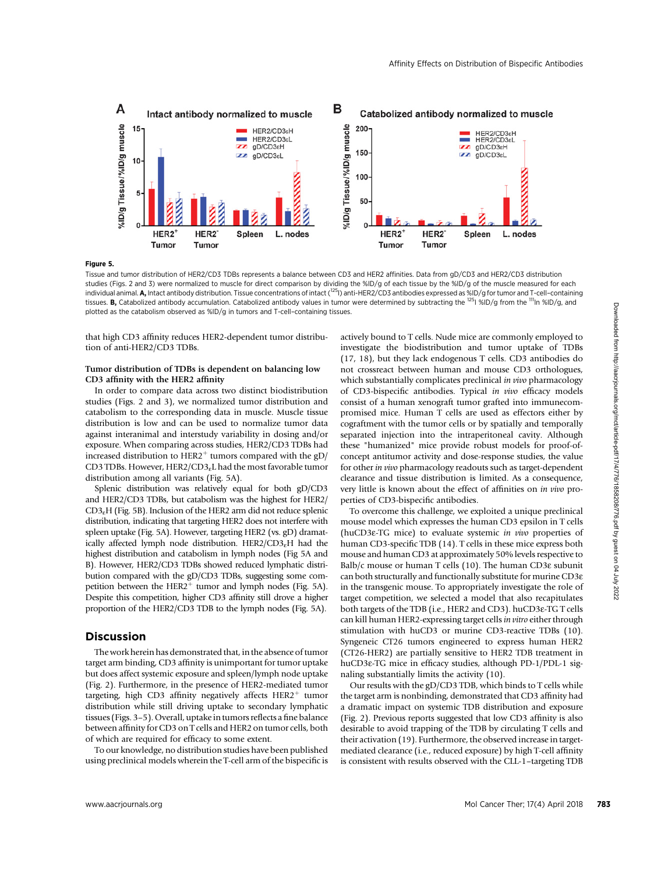

Figure 5.

Tissue and tumor distribution of HER2/CD3 TDBs represents a balance between CD3 and HER2 affinities. Data from gD/CD3 and HER2/CD3 distribution studies (Figs. 2 and 3) were normalized to muscle for direct comparison by dividing the %ID/g of each tissue by the %ID/g of the muscle measured for each individual animal. A, Intact antibody distribution. Tissue concentrations of intact (<sup>125</sup>I) anti-HER2/CD3 antibodies expressed as %ID/g for tumor and T-cell-containing tissues. **B**, Catabolized antibody accumulation. Catabolized antibody values in tumor were determined by subtracting the <sup>125</sup>I %ID/g from the <sup>111</sup>In %ID/g, and plotted as the catabolism observed as %ID/g in tumors and T-cell–containing tissues.

that high CD3 affinity reduces HER2-dependent tumor distribution of anti-HER2/CD3 TDBs.

### Tumor distribution of TDBs is dependent on balancing low CD3 affinity with the HER2 affinity

In order to compare data across two distinct biodistribution studies (Figs. 2 and 3), we normalized tumor distribution and catabolism to the corresponding data in muscle. Muscle tissue distribution is low and can be used to normalize tumor data against interanimal and interstudy variability in dosing and/or exposure. When comparing across studies, HER2/CD3 TDBs had increased distribution to HER2<sup>+</sup> tumors compared with the gD/ CD3 TDBs. However,  $HER2/CD3<sub>e</sub>L$  had the most favorable tumor distribution among all variants (Fig. 5A).

Splenic distribution was relatively equal for both gD/CD3 and HER2/CD3 TDBs, but catabolism was the highest for HER2/ CD3eH (Fig. 5B). Inclusion of the HER2 arm did not reduce splenic distribution, indicating that targeting HER2 does not interfere with spleen uptake (Fig. 5A). However, targeting HER2 (vs. gD) dramatically affected lymph node distribution. HER2/CD3<sub>e</sub>H had the highest distribution and catabolism in lymph nodes (Fig 5A and B). However, HER2/CD3 TDBs showed reduced lymphatic distribution compared with the gD/CD3 TDBs, suggesting some competition between the  $HER2^+$  tumor and lymph nodes (Fig. 5A). Despite this competition, higher CD3 affinity still drove a higher proportion of the HER2/CD3 TDB to the lymph nodes (Fig. 5A).

# Discussion

The work herein has demonstrated that, in the absence of tumor target arm binding, CD3 affinity is unimportant for tumor uptake but does affect systemic exposure and spleen/lymph node uptake (Fig. 2). Furthermore, in the presence of HER2-mediated tumor targeting, high CD3 affinity negatively affects  $HER2<sup>+</sup>$  tumor distribution while still driving uptake to secondary lymphatic tissues (Figs. 3–5). Overall, uptake in tumors reflects a fine balance between affinity for CD3 on T cells and HER2 on tumor cells, both of which are required for efficacy to some extent.

To our knowledge, no distribution studies have been published using preclinical models wherein the T-cell arm of the bispecific is actively bound to T cells. Nude mice are commonly employed to investigate the biodistribution and tumor uptake of TDBs (17, 18), but they lack endogenous T cells. CD3 antibodies do not crossreact between human and mouse CD3 orthologues, which substantially complicates preclinical in vivo pharmacology of CD3-bispecific antibodies. Typical in vivo efficacy models consist of a human xenograft tumor grafted into immunecompromised mice. Human T cells are used as effectors either by cograftment with the tumor cells or by spatially and temporally separated injection into the intraperitoneal cavity. Although these "humanized" mice provide robust models for proof-ofconcept antitumor activity and dose-response studies, the value for other in vivo pharmacology readouts such as target-dependent clearance and tissue distribution is limited. As a consequence, very little is known about the effect of affinities on in vivo properties of CD3-bispecific antibodies.

To overcome this challenge, we exploited a unique preclinical mouse model which expresses the human CD3 epsilon in T cells (huCD3e-TG mice) to evaluate systemic in vivo properties of human CD3-specific TDB (14). T cells in these mice express both mouse and human CD3 at approximately 50% levels respective to Balb/c mouse or human T cells (10). The human CD3 $\varepsilon$  subunit can both structurally and functionally substitute for murine CD3e in the transgenic mouse. To appropriately investigate the role of target competition, we selected a model that also recapitulates both targets of the TDB (i.e., HER2 and CD3). huCD3e-TG T cells can kill human HER2-expressing target cells in vitro either through stimulation with huCD3 or murine CD3-reactive TDBs (10). Syngeneic CT26 tumors engineered to express human HER2 (CT26-HER2) are partially sensitive to HER2 TDB treatment in huCD3e-TG mice in efficacy studies, although PD-1/PDL-1 signaling substantially limits the activity (10).

Our results with the gD/CD3 TDB, which binds to T cells while the target arm is nonbinding, demonstrated that CD3 affinity had a dramatic impact on systemic TDB distribution and exposure (Fig. 2). Previous reports suggested that low CD3 affinity is also desirable to avoid trapping of the TDB by circulating T cells and their activation (19). Furthermore, the observed increase in targetmediated clearance (i.e., reduced exposure) by high T-cell affinity is consistent with results observed with the CLL-1–targeting TDB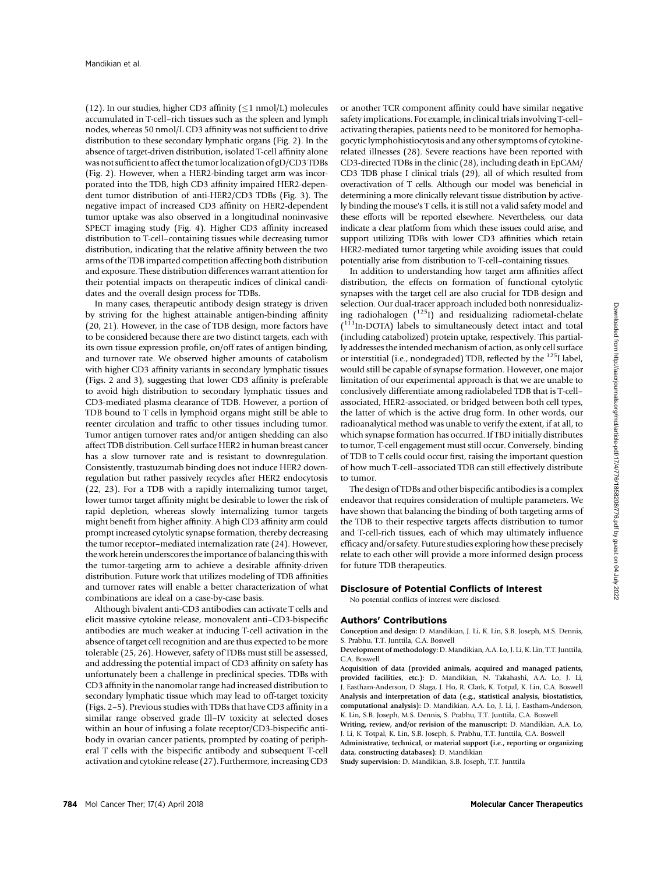(12). In our studies, higher CD3 affinity  $(1$  nmol/L) molecules accumulated in T-cell–rich tissues such as the spleen and lymph nodes, whereas 50 nmol/L CD3 affinity was not sufficient to drive distribution to these secondary lymphatic organs (Fig. 2). In the absence of target-driven distribution, isolated T-cell affinity alone was not sufficient to affect the tumor localization of gD/CD3 TDBs (Fig. 2). However, when a HER2-binding target arm was incorporated into the TDB, high CD3 affinity impaired HER2-dependent tumor distribution of anti-HER2/CD3 TDBs (Fig. 3). The negative impact of increased CD3 affinity on HER2-dependent tumor uptake was also observed in a longitudinal noninvasive SPECT imaging study (Fig. 4). Higher CD3 affinity increased distribution to T-cell–containing tissues while decreasing tumor distribution, indicating that the relative affinity between the two arms of the TDB imparted competition affecting both distribution and exposure. These distribution differences warrant attention for their potential impacts on therapeutic indices of clinical candidates and the overall design process for TDBs.

In many cases, therapeutic antibody design strategy is driven by striving for the highest attainable antigen-binding affinity (20, 21). However, in the case of TDB design, more factors have to be considered because there are two distinct targets, each with its own tissue expression profile, on/off rates of antigen binding, and turnover rate. We observed higher amounts of catabolism with higher CD3 affinity variants in secondary lymphatic tissues (Figs. 2 and 3), suggesting that lower CD3 affinity is preferable to avoid high distribution to secondary lymphatic tissues and CD3-mediated plasma clearance of TDB. However, a portion of TDB bound to T cells in lymphoid organs might still be able to reenter circulation and traffic to other tissues including tumor. Tumor antigen turnover rates and/or antigen shedding can also affect TDB distribution. Cell surface HER2 in human breast cancer has a slow turnover rate and is resistant to downregulation. Consistently, trastuzumab binding does not induce HER2 downregulation but rather passively recycles after HER2 endocytosis (22, 23). For a TDB with a rapidly internalizing tumor target, lower tumor target affinity might be desirable to lower the risk of rapid depletion, whereas slowly internalizing tumor targets might benefit from higher affinity. A high CD3 affinity arm could prompt increased cytolytic synapse formation, thereby decreasing the tumor receptor–mediated internalization rate (24). However, the work herein underscores the importance of balancing this with the tumor-targeting arm to achieve a desirable affinity-driven distribution. Future work that utilizes modeling of TDB affinities and turnover rates will enable a better characterization of what combinations are ideal on a case-by-case basis.

Although bivalent anti-CD3 antibodies can activate T cells and elicit massive cytokine release, monovalent anti–CD3-bispecific antibodies are much weaker at inducing T-cell activation in the absence of target cell recognition and are thus expected to be more tolerable (25, 26). However, safety of TDBs must still be assessed, and addressing the potential impact of CD3 affinity on safety has unfortunately been a challenge in preclinical species. TDBs with CD3 affinity in the nanomolar range had increased distribution to secondary lymphatic tissue which may lead to off-target toxicity (Figs. 2–5). Previous studies with TDBs that have CD3 affinity in a similar range observed grade Ill–IV toxicity at selected doses within an hour of infusing a folate receptor/CD3-bispecific antibody in ovarian cancer patients, prompted by coating of peripheral T cells with the bispecific antibody and subsequent T-cell activation and cytokine release (27). Furthermore, increasing CD3

or another TCR component affinity could have similar negative safety implications. For example, in clinical trials involving T-cell– activating therapies, patients need to be monitored for hemophagocytic lymphohistiocytosis and any other symptoms of cytokinerelated illnesses (28). Severe reactions have been reported with CD3-directed TDBs in the clinic (28), including death in EpCAM/ CD3 TDB phase I clinical trials (29), all of which resulted from overactivation of T cells. Although our model was beneficial in determining a more clinically relevant tissue distribution by actively binding the mouse's T cells, it is still not a valid safety model and these efforts will be reported elsewhere. Nevertheless, our data indicate a clear platform from which these issues could arise, and support utilizing TDBs with lower CD3 affinities which retain HER2-mediated tumor targeting while avoiding issues that could potentially arise from distribution to T-cell–containing tissues.

In addition to understanding how target arm affinities affect distribution, the effects on formation of functional cytolytic synapses with the target cell are also crucial for TDB design and selection. Our dual-tracer approach included both nonresidualizing radiohalogen  $(^{125}I)$  and residualizing radiometal-chelate ( 111In-DOTA) labels to simultaneously detect intact and total (including catabolized) protein uptake, respectively. This partially addresses the intended mechanism of action, as only cell surface or interstitial (i.e., nondegraded) TDB, reflected by the 125I label, would still be capable of synapse formation. However, one major limitation of our experimental approach is that we are unable to conclusively differentiate among radiolabeled TDB that is T-cell– associated, HER2-associated, or bridged between both cell types, the latter of which is the active drug form. In other words, our radioanalytical method was unable to verify the extent, if at all, to which synapse formation has occurred. If TBD initially distributes to tumor, T-cell engagement must still occur. Conversely, binding of TDB to T cells could occur first, raising the important question of how much T-cell–associated TDB can still effectively distribute to tumor.

The design of TDBs and other bispecific antibodies is a complex endeavor that requires consideration of multiple parameters. We have shown that balancing the binding of both targeting arms of the TDB to their respective targets affects distribution to tumor and T-cell-rich tissues, each of which may ultimately influence efficacy and/or safety. Future studies exploring how these precisely relate to each other will provide a more informed design process for future TDB therapeutics.

#### Disclosure of Potential Conflicts of Interest

No potential conflicts of interest were disclosed.

### Authors' Contributions

Conception and design: D. Mandikian, J. Li, K. Lin, S.B. Joseph, M.S. Dennis, S. Prabhu, T.T. Junttila, C.A. Boswell

Development of methodology: D. Mandikian, A.A. Lo, J. Li, K. Lin, T.T. Junttila, C.A. Boswell

Acquisition of data (provided animals, acquired and managed patients, provided facilities, etc.): D. Mandikian, N. Takahashi, A.A. Lo, J. Li, J. Eastham-Anderson, D. Slaga, J. Ho, R. Clark, K. Totpal, K. Lin, C.A. Boswell Analysis and interpretation of data (e.g., statistical analysis, biostatistics, computational analysis): D. Mandikian, A.A. Lo, J. Li, J. Eastham-Anderson, K. Lin, S.B. Joseph, M.S. Dennis, S. Prabhu, T.T. Junttila, C.A. Boswell

Writing, review, and/or revision of the manuscript: D. Mandikian, A.A. Lo, J. Li, K. Totpal, K. Lin, S.B. Joseph, S. Prabhu, T.T. Junttila, C.A. Boswell

Administrative, technical, or material support (i.e., reporting or organizing data, constructing databases): D. Mandikian

Study supervision: D. Mandikian, S.B. Joseph, T.T. Junttila